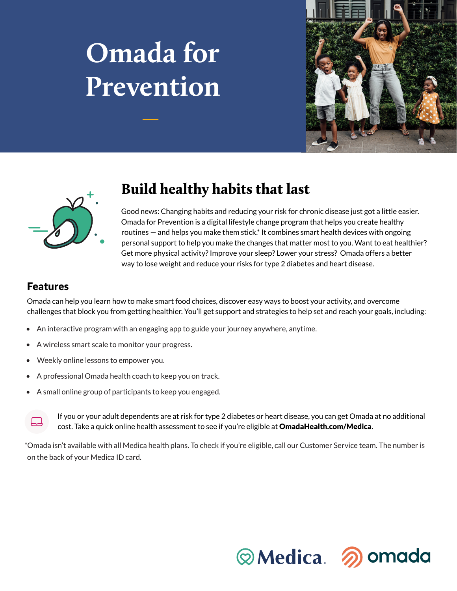# **Omada for Prevention**





## Build healthy habits that last

Good news: Changing habits and reducing your risk for chronic disease just got a little easier. Omada for Prevention is a digital lifestyle change program that helps you create healthy routines — and helps you make them stick.\* It combines smart health devices with ongoing personal support to help you make the changes that matter most to you. Want to eat healthier? Get more physical activity? Improve your sleep? Lower your stress? Omada offers a better way to lose weight and reduce your risks for type 2 diabetes and heart disease.

## Features

Omada can help you learn how to make smart food choices, discover easy ways to boost your activity, and overcome challenges that block you from getting healthier. You'll get support and strategies to help set and reach your goals, including:

- An interactive program with an engaging app to guide your journey anywhere, anytime.
- A wireless smart scale to monitor your progress.
- Weekly online lessons to empower you.
- A professional Omada health coach to keep you on track.
- A small online group of participants to keep you engaged.



If you or your adult dependents are at risk for type 2 diabetes or heart disease, you can get Omada at no additional cost. Take a quick online health assessment to see if you're eligible at OmadaHealth.com/Medica.

\*Omada isn't available with all Medica health plans. To check if you're eligible, call our Customer Service team. The number is on the back of your Medica ID card.